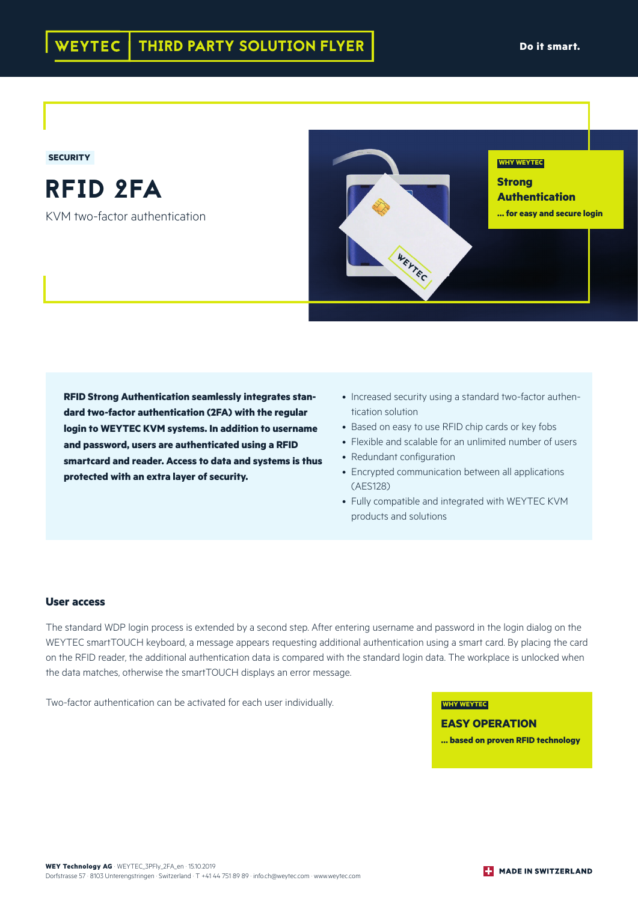### **SECURITY**

RFID 2FA

KVM two-factor authentication



**RFID Strong Authentication seamlessly integrates standard two-factor authentication (2FA) with the regular login to WEYTEC KVM systems. In addition to username and password, users are authenticated using a RFID smartcard and reader. Access to data and systems is thus protected with an extra layer of security.**

- Increased security using a standard two-factor authentication solution
- Based on easy to use RFID chip cards or key fobs
- Flexible and scalable for an unlimited number of users
- Redundant configuration
- Encrypted communication between all applications (AES128)
- Fully compatible and integrated with WEYTEC KVM products and solutions

### **User access**

The standard WDP login process is extended by a second step. After entering username and password in the login dialog on the WEYTEC smartTOUCH keyboard, a message appears requesting additional authentication using a smart card. By placing the card on the RFID reader, the additional authentication data is compared with the standard login data. The workplace is unlocked when the data matches, otherwise the smartTOUCH displays an error message.

Two-factor authentication can be activated for each user individually. **WHY WEYTEC** 

**EASY OPERATION … based on proven RFID technology**